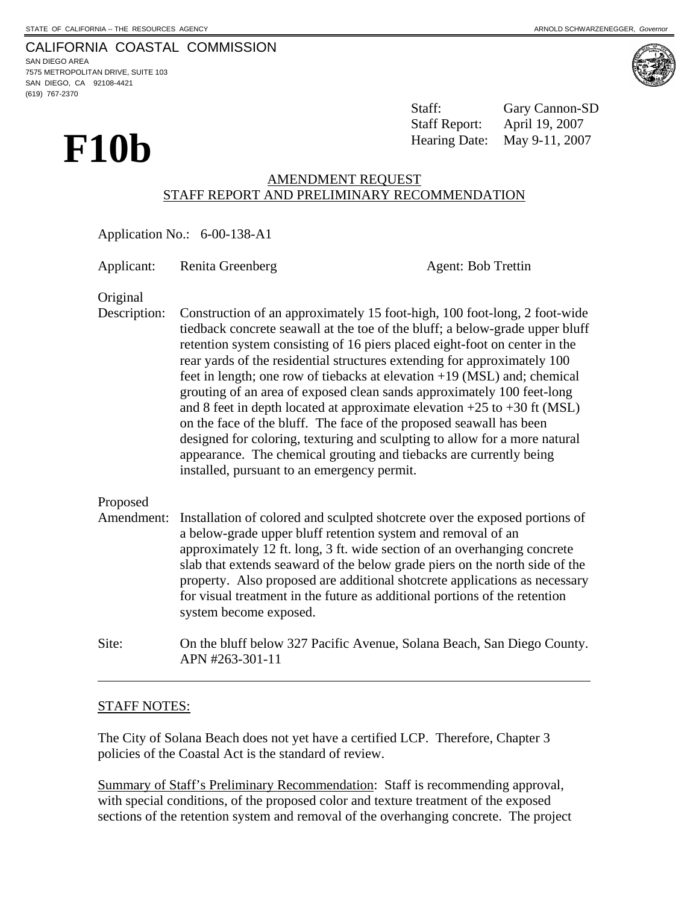CALIFORNIA COASTAL COMMISSION SAN DIEGO AREA 7575 METROPOLITAN DRIVE, SUITE 103

SAN DIEGO, CA 92108-4421 (619) 767-2370



Staff: Gary Cannon-SD Staff Report: April 19, 2007 Hearing Date: May 9-11, 2007

# AMENDMENT REQUEST STAFF REPORT AND PRELIMINARY RECOMMENDATION

Application No.: 6-00-138-A1

Applicant: Renita Greenberg Agent: Bob Trettin

Original

Description: Construction of an approximately 15 foot-high, 100 foot-long, 2 foot-wide tiedback concrete seawall at the toe of the bluff; a below-grade upper bluff retention system consisting of 16 piers placed eight-foot on center in the rear yards of the residential structures extending for approximately 100 feet in length; one row of tiebacks at elevation +19 (MSL) and; chemical grouting of an area of exposed clean sands approximately 100 feet-long and 8 feet in depth located at approximate elevation  $+25$  to  $+30$  ft (MSL) on the face of the bluff. The face of the proposed seawall has been designed for coloring, texturing and sculpting to allow for a more natural appearance. The chemical grouting and tiebacks are currently being installed, pursuant to an emergency permit.

## Proposed

- Amendment: Installation of colored and sculpted shotcrete over the exposed portions of a below-grade upper bluff retention system and removal of an approximately 12 ft. long, 3 ft. wide section of an overhanging concrete slab that extends seaward of the below grade piers on the north side of the property. Also proposed are additional shotcrete applications as necessary for visual treatment in the future as additional portions of the retention system become exposed.
- Site: On the bluff below 327 Pacific Avenue, Solana Beach, San Diego County. APN #263-301-11

## STAFF NOTES:

 $\overline{a}$ 

The City of Solana Beach does not yet have a certified LCP. Therefore, Chapter 3 policies of the Coastal Act is the standard of review.

Summary of Staff's Preliminary Recommendation: Staff is recommending approval, with special conditions, of the proposed color and texture treatment of the exposed sections of the retention system and removal of the overhanging concrete. The project

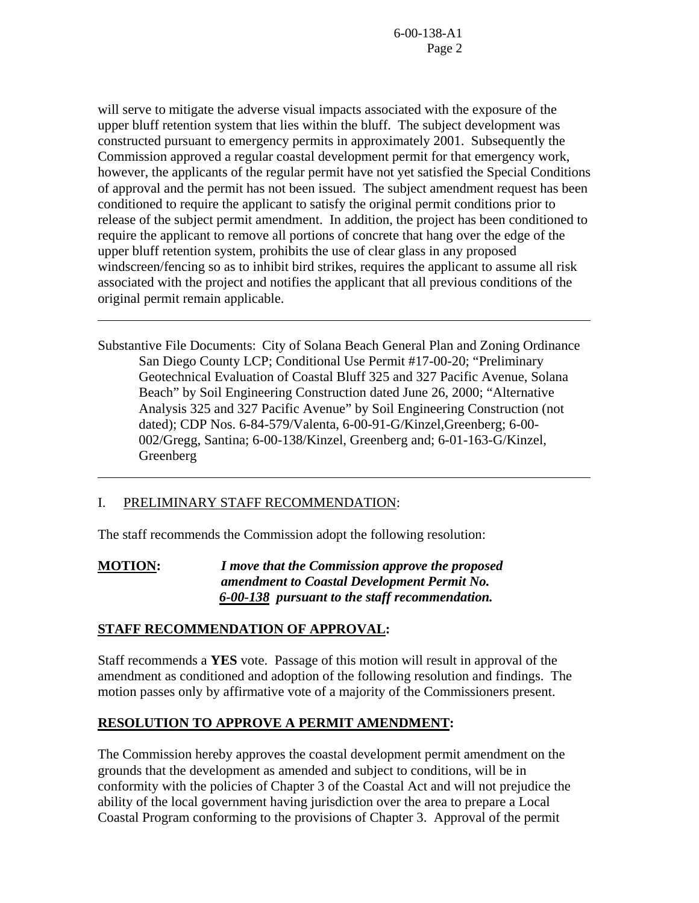will serve to mitigate the adverse visual impacts associated with the exposure of the upper bluff retention system that lies within the bluff. The subject development was constructed pursuant to emergency permits in approximately 2001. Subsequently the Commission approved a regular coastal development permit for that emergency work, however, the applicants of the regular permit have not yet satisfied the Special Conditions of approval and the permit has not been issued. The subject amendment request has been conditioned to require the applicant to satisfy the original permit conditions prior to release of the subject permit amendment. In addition, the project has been conditioned to require the applicant to remove all portions of concrete that hang over the edge of the upper bluff retention system, prohibits the use of clear glass in any proposed windscreen/fencing so as to inhibit bird strikes, requires the applicant to assume all risk associated with the project and notifies the applicant that all previous conditions of the original permit remain applicable.

Substantive File Documents: City of Solana Beach General Plan and Zoning Ordinance San Diego County LCP; Conditional Use Permit #17-00-20; "Preliminary Geotechnical Evaluation of Coastal Bluff 325 and 327 Pacific Avenue, Solana Beach" by Soil Engineering Construction dated June 26, 2000; "Alternative Analysis 325 and 327 Pacific Avenue" by Soil Engineering Construction (not dated); CDP Nos. 6-84-579/Valenta, 6-00-91-G/Kinzel,Greenberg; 6-00- 002/Gregg, Santina; 6-00-138/Kinzel, Greenberg and; 6-01-163-G/Kinzel, Greenberg

## I. PRELIMINARY STAFF RECOMMENDATION:

 $\overline{a}$ 

 $\overline{a}$ 

The staff recommends the Commission adopt the following resolution:

**MOTION:** *I move that the Commission approve the proposed amendment to Coastal Development Permit No.*  *6-00-138 pursuant to the staff recommendation.*

#### **STAFF RECOMMENDATION OF APPROVAL:**

Staff recommends a **YES** vote. Passage of this motion will result in approval of the amendment as conditioned and adoption of the following resolution and findings. The motion passes only by affirmative vote of a majority of the Commissioners present.

## **RESOLUTION TO APPROVE A PERMIT AMENDMENT:**

The Commission hereby approves the coastal development permit amendment on the grounds that the development as amended and subject to conditions, will be in conformity with the policies of Chapter 3 of the Coastal Act and will not prejudice the ability of the local government having jurisdiction over the area to prepare a Local Coastal Program conforming to the provisions of Chapter 3. Approval of the permit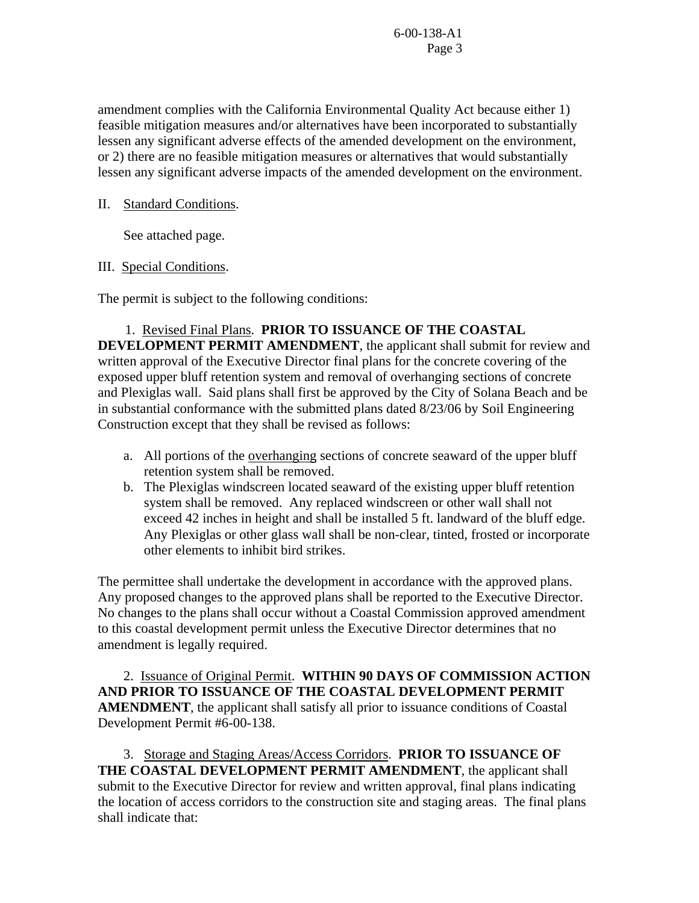amendment complies with the California Environmental Quality Act because either 1) feasible mitigation measures and/or alternatives have been incorporated to substantially lessen any significant adverse effects of the amended development on the environment, or 2) there are no feasible mitigation measures or alternatives that would substantially lessen any significant adverse impacts of the amended development on the environment.

### II. Standard Conditions.

See attached page.

## III. Special Conditions.

The permit is subject to the following conditions:

1. Revised Final Plans. **PRIOR TO ISSUANCE OF THE COASTAL DEVELOPMENT PERMIT AMENDMENT**, the applicant shall submit for review and written approval of the Executive Director final plans for the concrete covering of the exposed upper bluff retention system and removal of overhanging sections of concrete and Plexiglas wall. Said plans shall first be approved by the City of Solana Beach and be in substantial conformance with the submitted plans dated 8/23/06 by Soil Engineering Construction except that they shall be revised as follows:

- a. All portions of the overhanging sections of concrete seaward of the upper bluff retention system shall be removed.
- b. The Plexiglas windscreen located seaward of the existing upper bluff retention system shall be removed. Any replaced windscreen or other wall shall not exceed 42 inches in height and shall be installed 5 ft. landward of the bluff edge. Any Plexiglas or other glass wall shall be non-clear, tinted, frosted or incorporate other elements to inhibit bird strikes.

The permittee shall undertake the development in accordance with the approved plans. Any proposed changes to the approved plans shall be reported to the Executive Director. No changes to the plans shall occur without a Coastal Commission approved amendment to this coastal development permit unless the Executive Director determines that no amendment is legally required.

 2. Issuance of Original Permit. **WITHIN 90 DAYS OF COMMISSION ACTION AND PRIOR TO ISSUANCE OF THE COASTAL DEVELOPMENT PERMIT AMENDMENT**, the applicant shall satisfy all prior to issuance conditions of Coastal Development Permit #6-00-138.

 3. Storage and Staging Areas/Access Corridors. **PRIOR TO ISSUANCE OF THE COASTAL DEVELOPMENT PERMIT AMENDMENT**, the applicant shall submit to the Executive Director for review and written approval, final plans indicating the location of access corridors to the construction site and staging areas. The final plans shall indicate that: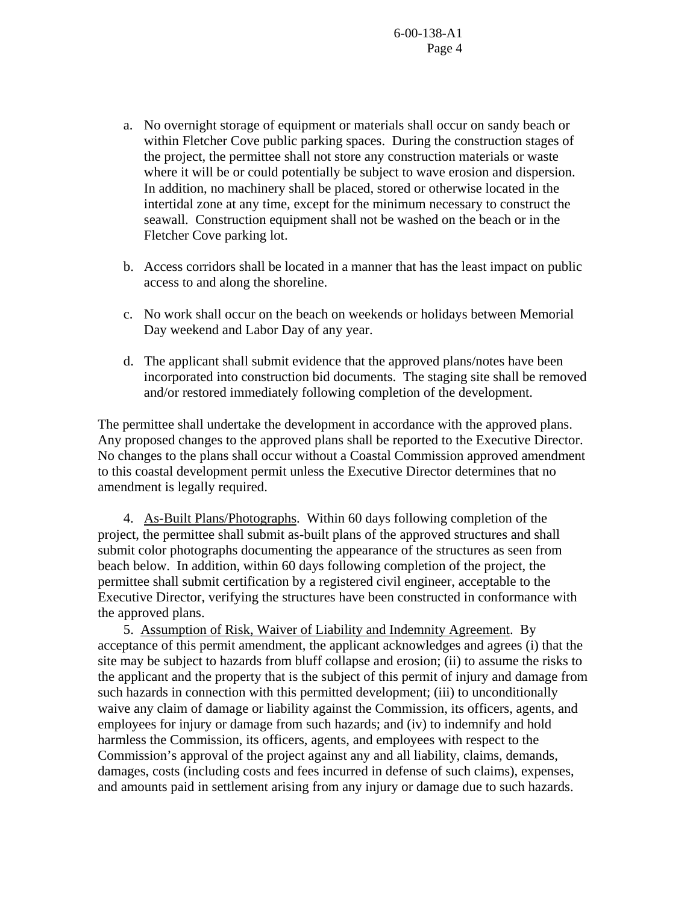- a. No overnight storage of equipment or materials shall occur on sandy beach or within Fletcher Cove public parking spaces. During the construction stages of the project, the permittee shall not store any construction materials or waste where it will be or could potentially be subject to wave erosion and dispersion. In addition, no machinery shall be placed, stored or otherwise located in the intertidal zone at any time, except for the minimum necessary to construct the seawall. Construction equipment shall not be washed on the beach or in the Fletcher Cove parking lot.
- b. Access corridors shall be located in a manner that has the least impact on public access to and along the shoreline.
- c. No work shall occur on the beach on weekends or holidays between Memorial Day weekend and Labor Day of any year.
- d. The applicant shall submit evidence that the approved plans/notes have been incorporated into construction bid documents. The staging site shall be removed and/or restored immediately following completion of the development.

The permittee shall undertake the development in accordance with the approved plans. Any proposed changes to the approved plans shall be reported to the Executive Director. No changes to the plans shall occur without a Coastal Commission approved amendment to this coastal development permit unless the Executive Director determines that no amendment is legally required.

 4. As-Built Plans/Photographs. Within 60 days following completion of the project, the permittee shall submit as-built plans of the approved structures and shall submit color photographs documenting the appearance of the structures as seen from beach below. In addition, within 60 days following completion of the project, the permittee shall submit certification by a registered civil engineer, acceptable to the Executive Director, verifying the structures have been constructed in conformance with the approved plans.

 5. Assumption of Risk, Waiver of Liability and Indemnity Agreement. By acceptance of this permit amendment, the applicant acknowledges and agrees (i) that the site may be subject to hazards from bluff collapse and erosion; (ii) to assume the risks to the applicant and the property that is the subject of this permit of injury and damage from such hazards in connection with this permitted development; (iii) to unconditionally waive any claim of damage or liability against the Commission, its officers, agents, and employees for injury or damage from such hazards; and (iv) to indemnify and hold harmless the Commission, its officers, agents, and employees with respect to the Commission's approval of the project against any and all liability, claims, demands, damages, costs (including costs and fees incurred in defense of such claims), expenses, and amounts paid in settlement arising from any injury or damage due to such hazards.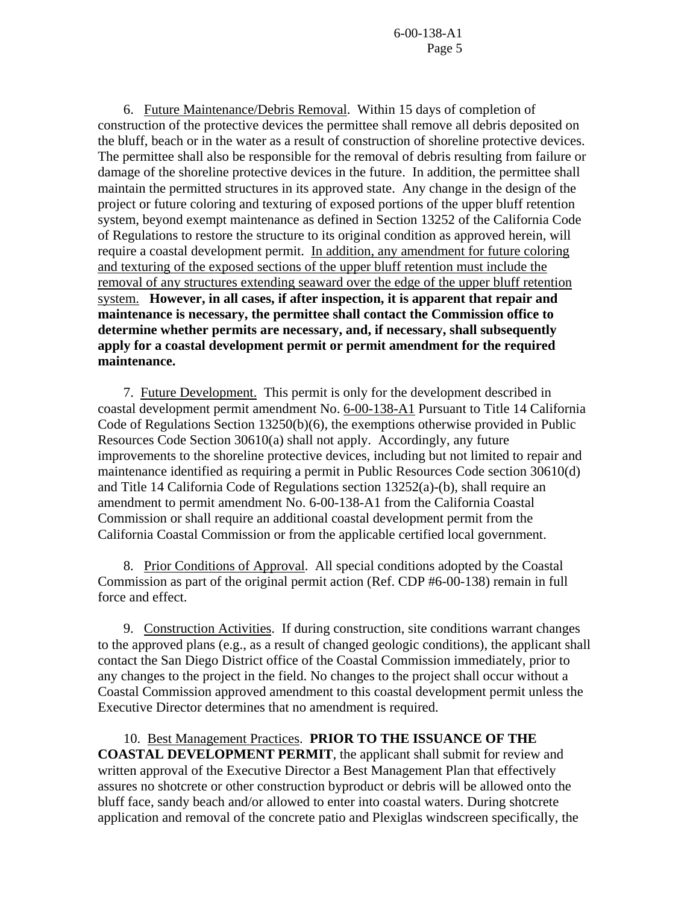6. Future Maintenance/Debris Removal. Within 15 days of completion of construction of the protective devices the permittee shall remove all debris deposited on the bluff, beach or in the water as a result of construction of shoreline protective devices. The permittee shall also be responsible for the removal of debris resulting from failure or damage of the shoreline protective devices in the future. In addition, the permittee shall maintain the permitted structures in its approved state. Any change in the design of the project or future coloring and texturing of exposed portions of the upper bluff retention system, beyond exempt maintenance as defined in Section 13252 of the California Code of Regulations to restore the structure to its original condition as approved herein, will require a coastal development permit. In addition, any amendment for future coloring and texturing of the exposed sections of the upper bluff retention must include the removal of any structures extending seaward over the edge of the upper bluff retention system. **However, in all cases, if after inspection, it is apparent that repair and maintenance is necessary, the permittee shall contact the Commission office to determine whether permits are necessary, and, if necessary, shall subsequently apply for a coastal development permit or permit amendment for the required maintenance.** 

7. Future Development. This permit is only for the development described in coastal development permit amendment No. 6-00-138-A1 Pursuant to Title 14 California Code of Regulations Section 13250(b)(6), the exemptions otherwise provided in Public Resources Code Section 30610(a) shall not apply. Accordingly, any future improvements to the shoreline protective devices, including but not limited to repair and maintenance identified as requiring a permit in Public Resources Code section 30610(d) and Title 14 California Code of Regulations section 13252(a)-(b), shall require an amendment to permit amendment No. 6-00-138-A1 from the California Coastal Commission or shall require an additional coastal development permit from the California Coastal Commission or from the applicable certified local government.

 8. Prior Conditions of Approval. All special conditions adopted by the Coastal Commission as part of the original permit action (Ref. CDP #6-00-138) remain in full force and effect.

 9. Construction Activities. If during construction, site conditions warrant changes to the approved plans (e.g., as a result of changed geologic conditions), the applicant shall contact the San Diego District office of the Coastal Commission immediately, prior to any changes to the project in the field. No changes to the project shall occur without a Coastal Commission approved amendment to this coastal development permit unless the Executive Director determines that no amendment is required.

10. Best Management Practices. **PRIOR TO THE ISSUANCE OF THE COASTAL DEVELOPMENT PERMIT**, the applicant shall submit for review and written approval of the Executive Director a Best Management Plan that effectively assures no shotcrete or other construction byproduct or debris will be allowed onto the bluff face, sandy beach and/or allowed to enter into coastal waters. During shotcrete application and removal of the concrete patio and Plexiglas windscreen specifically, the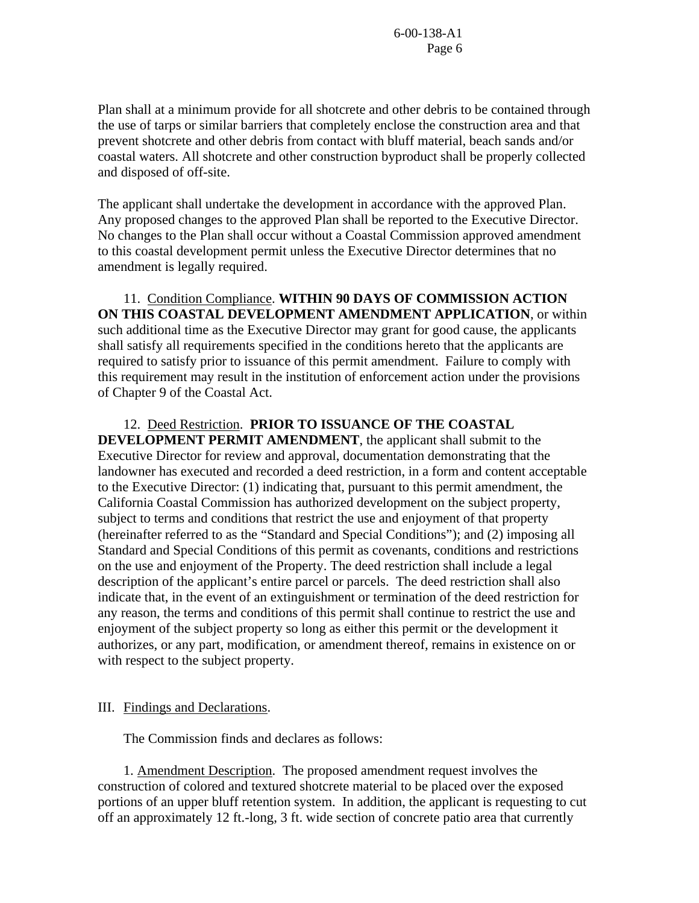Plan shall at a minimum provide for all shotcrete and other debris to be contained through the use of tarps or similar barriers that completely enclose the construction area and that prevent shotcrete and other debris from contact with bluff material, beach sands and/or coastal waters. All shotcrete and other construction byproduct shall be properly collected and disposed of off-site.

The applicant shall undertake the development in accordance with the approved Plan. Any proposed changes to the approved Plan shall be reported to the Executive Director. No changes to the Plan shall occur without a Coastal Commission approved amendment to this coastal development permit unless the Executive Director determines that no amendment is legally required.

11. Condition Compliance. **WITHIN 90 DAYS OF COMMISSION ACTION ON THIS COASTAL DEVELOPMENT AMENDMENT APPLICATION**, or within such additional time as the Executive Director may grant for good cause, the applicants shall satisfy all requirements specified in the conditions hereto that the applicants are required to satisfy prior to issuance of this permit amendment. Failure to comply with this requirement may result in the institution of enforcement action under the provisions of Chapter 9 of the Coastal Act.

### 12. Deed Restriction. **PRIOR TO ISSUANCE OF THE COASTAL**

**DEVELOPMENT PERMIT AMENDMENT**, the applicant shall submit to the Executive Director for review and approval, documentation demonstrating that the landowner has executed and recorded a deed restriction, in a form and content acceptable to the Executive Director: (1) indicating that, pursuant to this permit amendment, the California Coastal Commission has authorized development on the subject property, subject to terms and conditions that restrict the use and enjoyment of that property (hereinafter referred to as the "Standard and Special Conditions"); and (2) imposing all Standard and Special Conditions of this permit as covenants, conditions and restrictions on the use and enjoyment of the Property. The deed restriction shall include a legal description of the applicant's entire parcel or parcels. The deed restriction shall also indicate that, in the event of an extinguishment or termination of the deed restriction for any reason, the terms and conditions of this permit shall continue to restrict the use and enjoyment of the subject property so long as either this permit or the development it authorizes, or any part, modification, or amendment thereof, remains in existence on or with respect to the subject property.

#### III. Findings and Declarations.

The Commission finds and declares as follows:

1. Amendment Description. The proposed amendment request involves the construction of colored and textured shotcrete material to be placed over the exposed portions of an upper bluff retention system. In addition, the applicant is requesting to cut off an approximately 12 ft.-long, 3 ft. wide section of concrete patio area that currently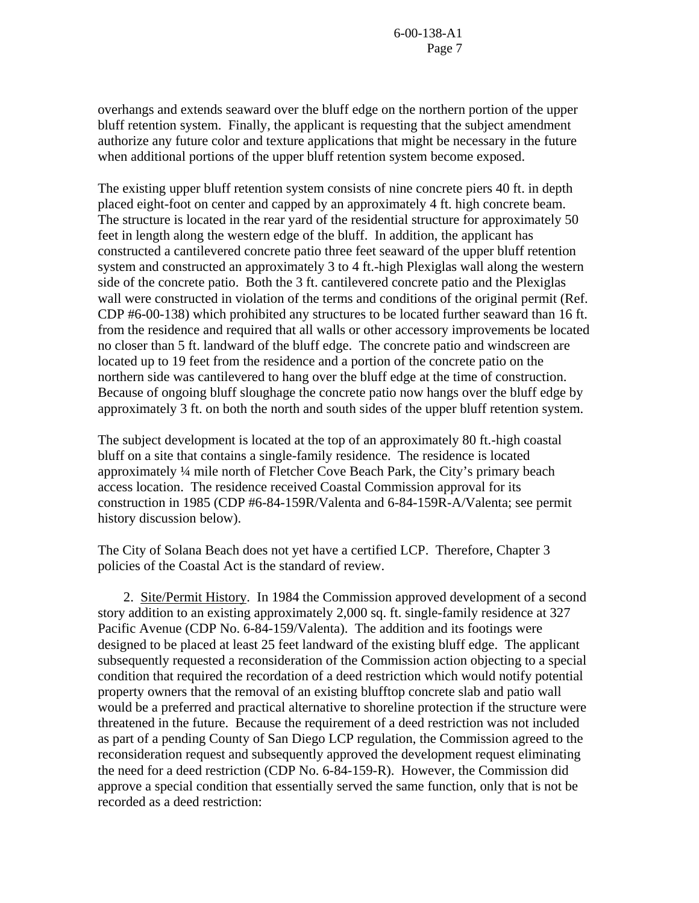overhangs and extends seaward over the bluff edge on the northern portion of the upper bluff retention system. Finally, the applicant is requesting that the subject amendment authorize any future color and texture applications that might be necessary in the future when additional portions of the upper bluff retention system become exposed.

The existing upper bluff retention system consists of nine concrete piers 40 ft. in depth placed eight-foot on center and capped by an approximately 4 ft. high concrete beam. The structure is located in the rear yard of the residential structure for approximately 50 feet in length along the western edge of the bluff. In addition, the applicant has constructed a cantilevered concrete patio three feet seaward of the upper bluff retention system and constructed an approximately 3 to 4 ft.-high Plexiglas wall along the western side of the concrete patio. Both the 3 ft. cantilevered concrete patio and the Plexiglas wall were constructed in violation of the terms and conditions of the original permit (Ref. CDP #6-00-138) which prohibited any structures to be located further seaward than 16 ft. from the residence and required that all walls or other accessory improvements be located no closer than 5 ft. landward of the bluff edge. The concrete patio and windscreen are located up to 19 feet from the residence and a portion of the concrete patio on the northern side was cantilevered to hang over the bluff edge at the time of construction. Because of ongoing bluff sloughage the concrete patio now hangs over the bluff edge by approximately 3 ft. on both the north and south sides of the upper bluff retention system.

The subject development is located at the top of an approximately 80 ft.-high coastal bluff on a site that contains a single-family residence. The residence is located approximately ¼ mile north of Fletcher Cove Beach Park, the City's primary beach access location. The residence received Coastal Commission approval for its construction in 1985 (CDP #6-84-159R/Valenta and 6-84-159R-A/Valenta; see permit history discussion below).

The City of Solana Beach does not yet have a certified LCP. Therefore, Chapter 3 policies of the Coastal Act is the standard of review.

 2. Site/Permit History. In 1984 the Commission approved development of a second story addition to an existing approximately 2,000 sq. ft. single-family residence at 327 Pacific Avenue (CDP No. 6-84-159/Valenta). The addition and its footings were designed to be placed at least 25 feet landward of the existing bluff edge. The applicant subsequently requested a reconsideration of the Commission action objecting to a special condition that required the recordation of a deed restriction which would notify potential property owners that the removal of an existing blufftop concrete slab and patio wall would be a preferred and practical alternative to shoreline protection if the structure were threatened in the future. Because the requirement of a deed restriction was not included as part of a pending County of San Diego LCP regulation, the Commission agreed to the reconsideration request and subsequently approved the development request eliminating the need for a deed restriction (CDP No. 6-84-159-R). However, the Commission did approve a special condition that essentially served the same function, only that is not be recorded as a deed restriction: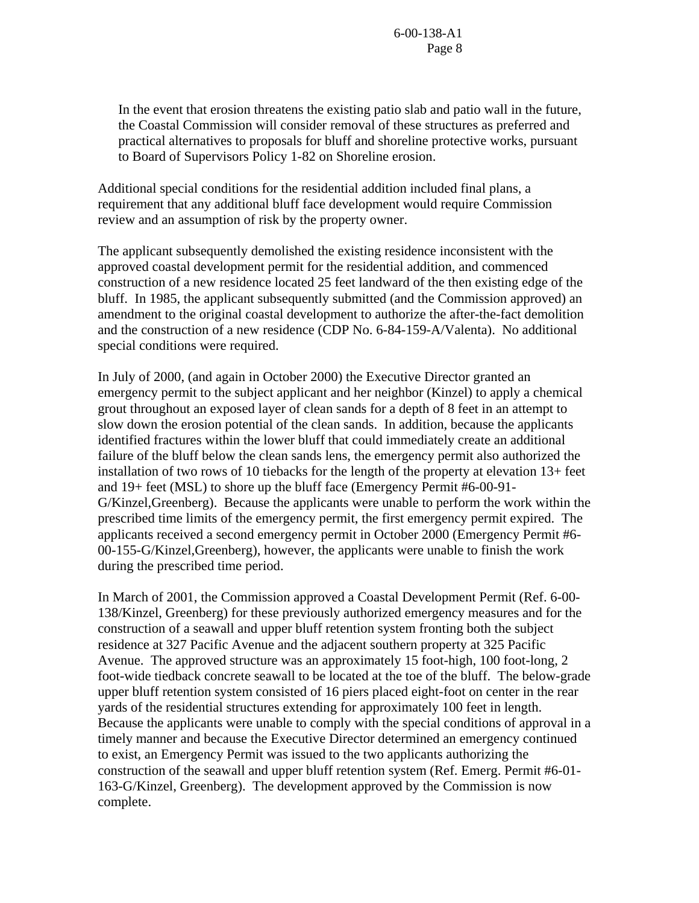In the event that erosion threatens the existing patio slab and patio wall in the future, the Coastal Commission will consider removal of these structures as preferred and practical alternatives to proposals for bluff and shoreline protective works, pursuant to Board of Supervisors Policy 1-82 on Shoreline erosion.

Additional special conditions for the residential addition included final plans, a requirement that any additional bluff face development would require Commission review and an assumption of risk by the property owner.

The applicant subsequently demolished the existing residence inconsistent with the approved coastal development permit for the residential addition, and commenced construction of a new residence located 25 feet landward of the then existing edge of the bluff. In 1985, the applicant subsequently submitted (and the Commission approved) an amendment to the original coastal development to authorize the after-the-fact demolition and the construction of a new residence (CDP No. 6-84-159-A/Valenta). No additional special conditions were required.

In July of 2000, (and again in October 2000) the Executive Director granted an emergency permit to the subject applicant and her neighbor (Kinzel) to apply a chemical grout throughout an exposed layer of clean sands for a depth of 8 feet in an attempt to slow down the erosion potential of the clean sands. In addition, because the applicants identified fractures within the lower bluff that could immediately create an additional failure of the bluff below the clean sands lens, the emergency permit also authorized the installation of two rows of 10 tiebacks for the length of the property at elevation 13+ feet and 19+ feet (MSL) to shore up the bluff face (Emergency Permit #6-00-91- G/Kinzel,Greenberg). Because the applicants were unable to perform the work within the prescribed time limits of the emergency permit, the first emergency permit expired. The applicants received a second emergency permit in October 2000 (Emergency Permit #6- 00-155-G/Kinzel,Greenberg), however, the applicants were unable to finish the work during the prescribed time period.

In March of 2001, the Commission approved a Coastal Development Permit (Ref. 6-00- 138/Kinzel, Greenberg) for these previously authorized emergency measures and for the construction of a seawall and upper bluff retention system fronting both the subject residence at 327 Pacific Avenue and the adjacent southern property at 325 Pacific Avenue. The approved structure was an approximately 15 foot-high, 100 foot-long, 2 foot-wide tiedback concrete seawall to be located at the toe of the bluff. The below-grade upper bluff retention system consisted of 16 piers placed eight-foot on center in the rear yards of the residential structures extending for approximately 100 feet in length. Because the applicants were unable to comply with the special conditions of approval in a timely manner and because the Executive Director determined an emergency continued to exist, an Emergency Permit was issued to the two applicants authorizing the construction of the seawall and upper bluff retention system (Ref. Emerg. Permit #6-01- 163-G/Kinzel, Greenberg). The development approved by the Commission is now complete.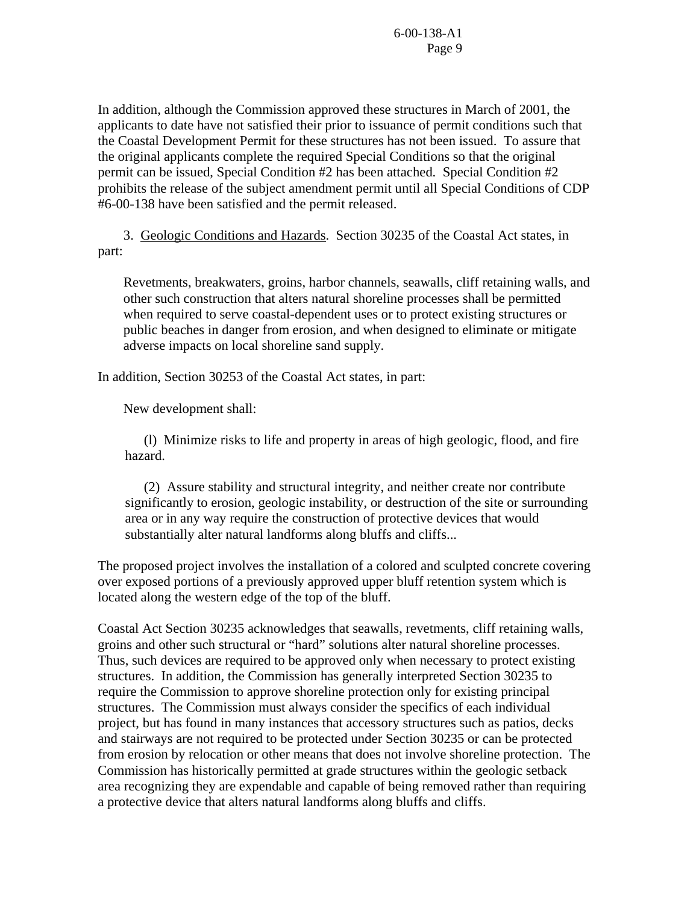In addition, although the Commission approved these structures in March of 2001, the applicants to date have not satisfied their prior to issuance of permit conditions such that the Coastal Development Permit for these structures has not been issued. To assure that the original applicants complete the required Special Conditions so that the original permit can be issued, Special Condition #2 has been attached. Special Condition #2 prohibits the release of the subject amendment permit until all Special Conditions of CDP #6-00-138 have been satisfied and the permit released.

 3. Geologic Conditions and Hazards. Section 30235 of the Coastal Act states, in part:

Revetments, breakwaters, groins, harbor channels, seawalls, cliff retaining walls, and other such construction that alters natural shoreline processes shall be permitted when required to serve coastal-dependent uses or to protect existing structures or public beaches in danger from erosion, and when designed to eliminate or mitigate adverse impacts on local shoreline sand supply.

In addition, Section 30253 of the Coastal Act states, in part:

New development shall:

 (l) Minimize risks to life and property in areas of high geologic, flood, and fire hazard.

 (2) Assure stability and structural integrity, and neither create nor contribute significantly to erosion, geologic instability, or destruction of the site or surrounding area or in any way require the construction of protective devices that would substantially alter natural landforms along bluffs and cliffs...

The proposed project involves the installation of a colored and sculpted concrete covering over exposed portions of a previously approved upper bluff retention system which is located along the western edge of the top of the bluff.

Coastal Act Section 30235 acknowledges that seawalls, revetments, cliff retaining walls, groins and other such structural or "hard" solutions alter natural shoreline processes. Thus, such devices are required to be approved only when necessary to protect existing structures. In addition, the Commission has generally interpreted Section 30235 to require the Commission to approve shoreline protection only for existing principal structures. The Commission must always consider the specifics of each individual project, but has found in many instances that accessory structures such as patios, decks and stairways are not required to be protected under Section 30235 or can be protected from erosion by relocation or other means that does not involve shoreline protection. The Commission has historically permitted at grade structures within the geologic setback area recognizing they are expendable and capable of being removed rather than requiring a protective device that alters natural landforms along bluffs and cliffs.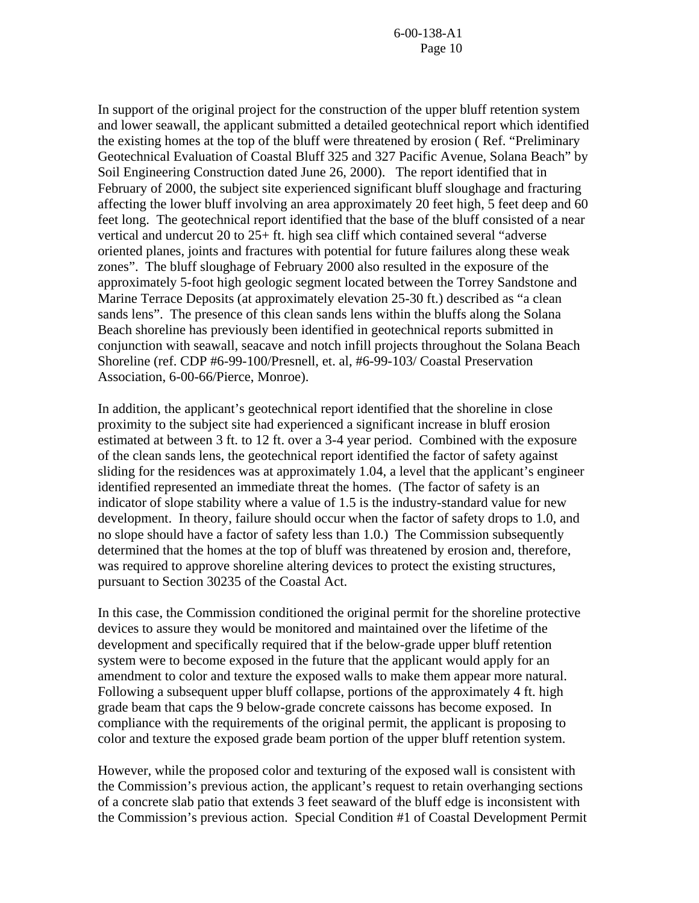In support of the original project for the construction of the upper bluff retention system and lower seawall, the applicant submitted a detailed geotechnical report which identified the existing homes at the top of the bluff were threatened by erosion ( Ref. "Preliminary Geotechnical Evaluation of Coastal Bluff 325 and 327 Pacific Avenue, Solana Beach" by Soil Engineering Construction dated June 26, 2000). The report identified that in February of 2000, the subject site experienced significant bluff sloughage and fracturing affecting the lower bluff involving an area approximately 20 feet high, 5 feet deep and 60 feet long. The geotechnical report identified that the base of the bluff consisted of a near vertical and undercut 20 to 25+ ft. high sea cliff which contained several "adverse oriented planes, joints and fractures with potential for future failures along these weak zones". The bluff sloughage of February 2000 also resulted in the exposure of the approximately 5-foot high geologic segment located between the Torrey Sandstone and Marine Terrace Deposits (at approximately elevation 25-30 ft.) described as "a clean sands lens". The presence of this clean sands lens within the bluffs along the Solana Beach shoreline has previously been identified in geotechnical reports submitted in conjunction with seawall, seacave and notch infill projects throughout the Solana Beach Shoreline (ref. CDP #6-99-100/Presnell, et. al, #6-99-103/ Coastal Preservation Association, 6-00-66/Pierce, Monroe).

In addition, the applicant's geotechnical report identified that the shoreline in close proximity to the subject site had experienced a significant increase in bluff erosion estimated at between 3 ft. to 12 ft. over a 3-4 year period. Combined with the exposure of the clean sands lens, the geotechnical report identified the factor of safety against sliding for the residences was at approximately 1.04, a level that the applicant's engineer identified represented an immediate threat the homes. (The factor of safety is an indicator of slope stability where a value of 1.5 is the industry-standard value for new development. In theory, failure should occur when the factor of safety drops to 1.0, and no slope should have a factor of safety less than 1.0.) The Commission subsequently determined that the homes at the top of bluff was threatened by erosion and, therefore, was required to approve shoreline altering devices to protect the existing structures, pursuant to Section 30235 of the Coastal Act.

In this case, the Commission conditioned the original permit for the shoreline protective devices to assure they would be monitored and maintained over the lifetime of the development and specifically required that if the below-grade upper bluff retention system were to become exposed in the future that the applicant would apply for an amendment to color and texture the exposed walls to make them appear more natural. Following a subsequent upper bluff collapse, portions of the approximately 4 ft. high grade beam that caps the 9 below-grade concrete caissons has become exposed. In compliance with the requirements of the original permit, the applicant is proposing to color and texture the exposed grade beam portion of the upper bluff retention system.

However, while the proposed color and texturing of the exposed wall is consistent with the Commission's previous action, the applicant's request to retain overhanging sections of a concrete slab patio that extends 3 feet seaward of the bluff edge is inconsistent with the Commission's previous action. Special Condition #1 of Coastal Development Permit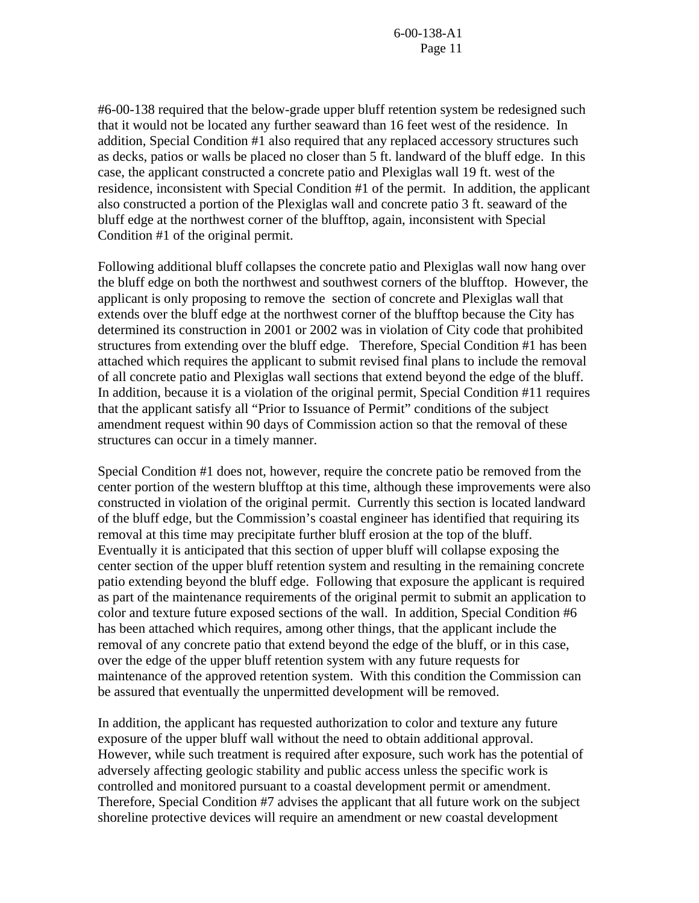#6-00-138 required that the below-grade upper bluff retention system be redesigned such that it would not be located any further seaward than 16 feet west of the residence. In addition, Special Condition #1 also required that any replaced accessory structures such as decks, patios or walls be placed no closer than 5 ft. landward of the bluff edge. In this case, the applicant constructed a concrete patio and Plexiglas wall 19 ft. west of the residence, inconsistent with Special Condition #1 of the permit. In addition, the applicant also constructed a portion of the Plexiglas wall and concrete patio 3 ft. seaward of the bluff edge at the northwest corner of the blufftop, again, inconsistent with Special Condition #1 of the original permit.

Following additional bluff collapses the concrete patio and Plexiglas wall now hang over the bluff edge on both the northwest and southwest corners of the blufftop. However, the applicant is only proposing to remove the section of concrete and Plexiglas wall that extends over the bluff edge at the northwest corner of the blufftop because the City has determined its construction in 2001 or 2002 was in violation of City code that prohibited structures from extending over the bluff edge. Therefore, Special Condition #1 has been attached which requires the applicant to submit revised final plans to include the removal of all concrete patio and Plexiglas wall sections that extend beyond the edge of the bluff. In addition, because it is a violation of the original permit, Special Condition #11 requires that the applicant satisfy all "Prior to Issuance of Permit" conditions of the subject amendment request within 90 days of Commission action so that the removal of these structures can occur in a timely manner.

Special Condition #1 does not, however, require the concrete patio be removed from the center portion of the western blufftop at this time, although these improvements were also constructed in violation of the original permit. Currently this section is located landward of the bluff edge, but the Commission's coastal engineer has identified that requiring its removal at this time may precipitate further bluff erosion at the top of the bluff. Eventually it is anticipated that this section of upper bluff will collapse exposing the center section of the upper bluff retention system and resulting in the remaining concrete patio extending beyond the bluff edge. Following that exposure the applicant is required as part of the maintenance requirements of the original permit to submit an application to color and texture future exposed sections of the wall. In addition, Special Condition #6 has been attached which requires, among other things, that the applicant include the removal of any concrete patio that extend beyond the edge of the bluff, or in this case, over the edge of the upper bluff retention system with any future requests for maintenance of the approved retention system. With this condition the Commission can be assured that eventually the unpermitted development will be removed.

In addition, the applicant has requested authorization to color and texture any future exposure of the upper bluff wall without the need to obtain additional approval. However, while such treatment is required after exposure, such work has the potential of adversely affecting geologic stability and public access unless the specific work is controlled and monitored pursuant to a coastal development permit or amendment. Therefore, Special Condition #7 advises the applicant that all future work on the subject shoreline protective devices will require an amendment or new coastal development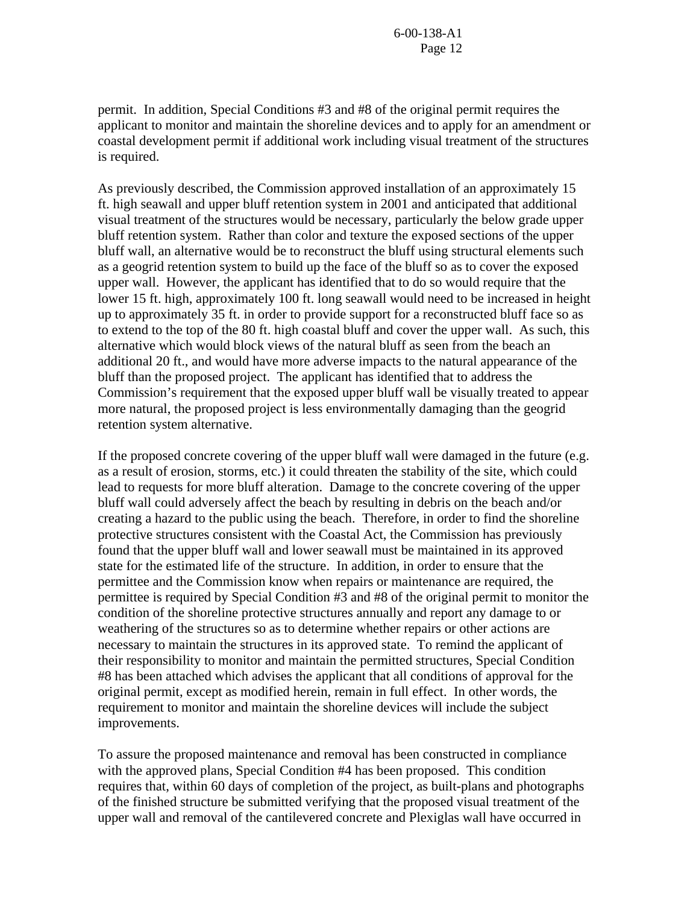permit. In addition, Special Conditions #3 and #8 of the original permit requires the applicant to monitor and maintain the shoreline devices and to apply for an amendment or coastal development permit if additional work including visual treatment of the structures is required.

As previously described, the Commission approved installation of an approximately 15 ft. high seawall and upper bluff retention system in 2001 and anticipated that additional visual treatment of the structures would be necessary, particularly the below grade upper bluff retention system. Rather than color and texture the exposed sections of the upper bluff wall, an alternative would be to reconstruct the bluff using structural elements such as a geogrid retention system to build up the face of the bluff so as to cover the exposed upper wall. However, the applicant has identified that to do so would require that the lower 15 ft. high, approximately 100 ft. long seawall would need to be increased in height up to approximately 35 ft. in order to provide support for a reconstructed bluff face so as to extend to the top of the 80 ft. high coastal bluff and cover the upper wall. As such, this alternative which would block views of the natural bluff as seen from the beach an additional 20 ft., and would have more adverse impacts to the natural appearance of the bluff than the proposed project. The applicant has identified that to address the Commission's requirement that the exposed upper bluff wall be visually treated to appear more natural, the proposed project is less environmentally damaging than the geogrid retention system alternative.

If the proposed concrete covering of the upper bluff wall were damaged in the future (e.g. as a result of erosion, storms, etc.) it could threaten the stability of the site, which could lead to requests for more bluff alteration. Damage to the concrete covering of the upper bluff wall could adversely affect the beach by resulting in debris on the beach and/or creating a hazard to the public using the beach. Therefore, in order to find the shoreline protective structures consistent with the Coastal Act, the Commission has previously found that the upper bluff wall and lower seawall must be maintained in its approved state for the estimated life of the structure. In addition, in order to ensure that the permittee and the Commission know when repairs or maintenance are required, the permittee is required by Special Condition #3 and #8 of the original permit to monitor the condition of the shoreline protective structures annually and report any damage to or weathering of the structures so as to determine whether repairs or other actions are necessary to maintain the structures in its approved state. To remind the applicant of their responsibility to monitor and maintain the permitted structures, Special Condition #8 has been attached which advises the applicant that all conditions of approval for the original permit, except as modified herein, remain in full effect. In other words, the requirement to monitor and maintain the shoreline devices will include the subject improvements.

To assure the proposed maintenance and removal has been constructed in compliance with the approved plans, Special Condition #4 has been proposed. This condition requires that, within 60 days of completion of the project, as built-plans and photographs of the finished structure be submitted verifying that the proposed visual treatment of the upper wall and removal of the cantilevered concrete and Plexiglas wall have occurred in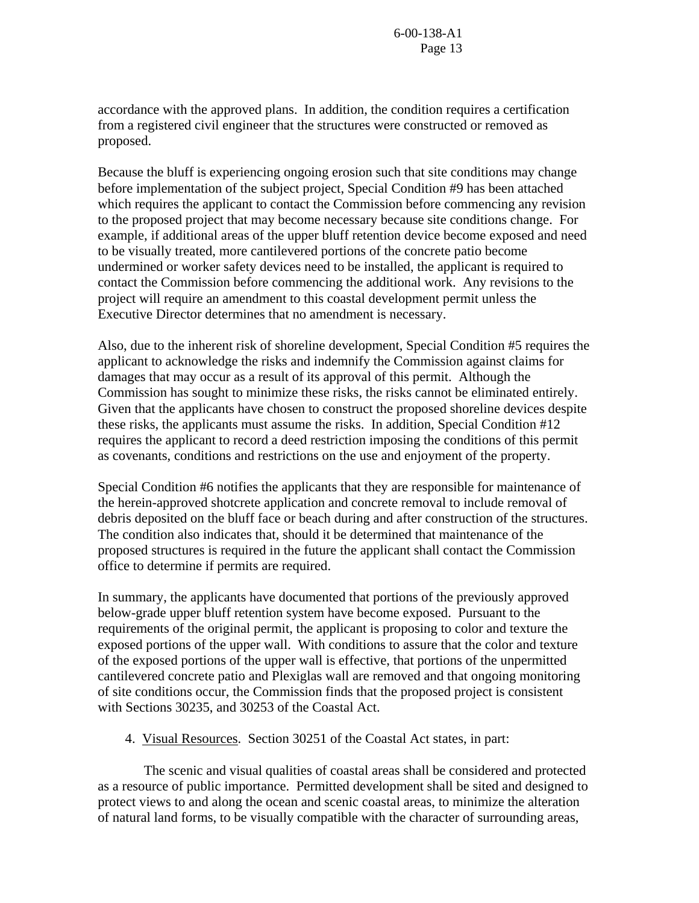accordance with the approved plans. In addition, the condition requires a certification from a registered civil engineer that the structures were constructed or removed as proposed.

Because the bluff is experiencing ongoing erosion such that site conditions may change before implementation of the subject project, Special Condition #9 has been attached which requires the applicant to contact the Commission before commencing any revision to the proposed project that may become necessary because site conditions change. For example, if additional areas of the upper bluff retention device become exposed and need to be visually treated, more cantilevered portions of the concrete patio become undermined or worker safety devices need to be installed, the applicant is required to contact the Commission before commencing the additional work. Any revisions to the project will require an amendment to this coastal development permit unless the Executive Director determines that no amendment is necessary.

Also, due to the inherent risk of shoreline development, Special Condition #5 requires the applicant to acknowledge the risks and indemnify the Commission against claims for damages that may occur as a result of its approval of this permit. Although the Commission has sought to minimize these risks, the risks cannot be eliminated entirely. Given that the applicants have chosen to construct the proposed shoreline devices despite these risks, the applicants must assume the risks. In addition, Special Condition #12 requires the applicant to record a deed restriction imposing the conditions of this permit as covenants, conditions and restrictions on the use and enjoyment of the property.

Special Condition #6 notifies the applicants that they are responsible for maintenance of the herein-approved shotcrete application and concrete removal to include removal of debris deposited on the bluff face or beach during and after construction of the structures. The condition also indicates that, should it be determined that maintenance of the proposed structures is required in the future the applicant shall contact the Commission office to determine if permits are required.

In summary, the applicants have documented that portions of the previously approved below-grade upper bluff retention system have become exposed. Pursuant to the requirements of the original permit, the applicant is proposing to color and texture the exposed portions of the upper wall. With conditions to assure that the color and texture of the exposed portions of the upper wall is effective, that portions of the unpermitted cantilevered concrete patio and Plexiglas wall are removed and that ongoing monitoring of site conditions occur, the Commission finds that the proposed project is consistent with Sections 30235, and 30253 of the Coastal Act.

4. Visual Resources. Section 30251 of the Coastal Act states, in part:

 The scenic and visual qualities of coastal areas shall be considered and protected as a resource of public importance. Permitted development shall be sited and designed to protect views to and along the ocean and scenic coastal areas, to minimize the alteration of natural land forms, to be visually compatible with the character of surrounding areas,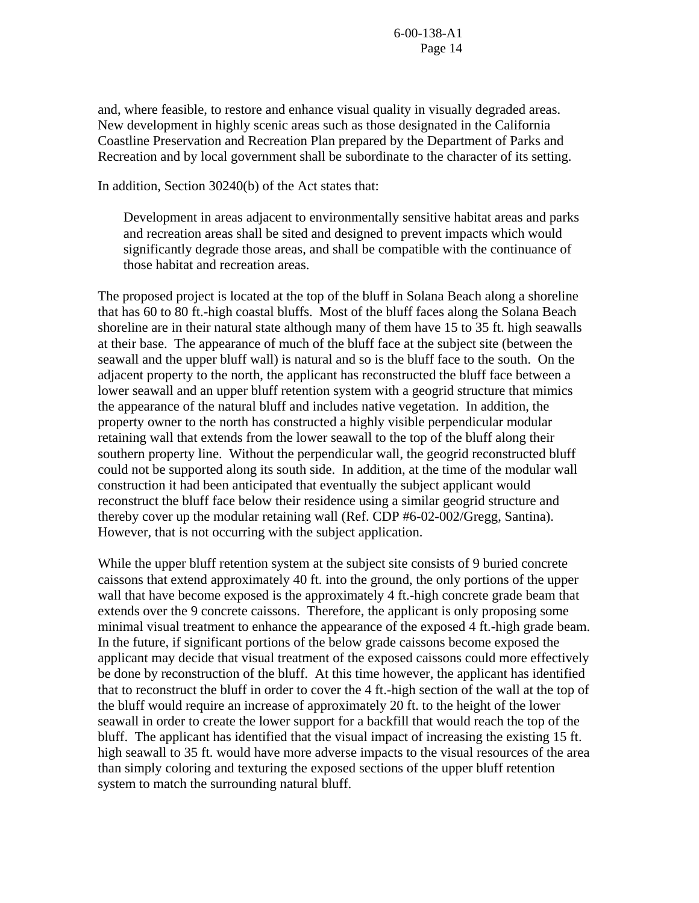and, where feasible, to restore and enhance visual quality in visually degraded areas. New development in highly scenic areas such as those designated in the California Coastline Preservation and Recreation Plan prepared by the Department of Parks and Recreation and by local government shall be subordinate to the character of its setting.

In addition, Section 30240(b) of the Act states that:

Development in areas adjacent to environmentally sensitive habitat areas and parks and recreation areas shall be sited and designed to prevent impacts which would significantly degrade those areas, and shall be compatible with the continuance of those habitat and recreation areas.

The proposed project is located at the top of the bluff in Solana Beach along a shoreline that has 60 to 80 ft.-high coastal bluffs. Most of the bluff faces along the Solana Beach shoreline are in their natural state although many of them have 15 to 35 ft. high seawalls at their base. The appearance of much of the bluff face at the subject site (between the seawall and the upper bluff wall) is natural and so is the bluff face to the south. On the adjacent property to the north, the applicant has reconstructed the bluff face between a lower seawall and an upper bluff retention system with a geogrid structure that mimics the appearance of the natural bluff and includes native vegetation. In addition, the property owner to the north has constructed a highly visible perpendicular modular retaining wall that extends from the lower seawall to the top of the bluff along their southern property line. Without the perpendicular wall, the geogrid reconstructed bluff could not be supported along its south side. In addition, at the time of the modular wall construction it had been anticipated that eventually the subject applicant would reconstruct the bluff face below their residence using a similar geogrid structure and thereby cover up the modular retaining wall (Ref. CDP #6-02-002/Gregg, Santina). However, that is not occurring with the subject application.

While the upper bluff retention system at the subject site consists of 9 buried concrete caissons that extend approximately 40 ft. into the ground, the only portions of the upper wall that have become exposed is the approximately 4 ft.-high concrete grade beam that extends over the 9 concrete caissons. Therefore, the applicant is only proposing some minimal visual treatment to enhance the appearance of the exposed 4 ft.-high grade beam. In the future, if significant portions of the below grade caissons become exposed the applicant may decide that visual treatment of the exposed caissons could more effectively be done by reconstruction of the bluff. At this time however, the applicant has identified that to reconstruct the bluff in order to cover the 4 ft.-high section of the wall at the top of the bluff would require an increase of approximately 20 ft. to the height of the lower seawall in order to create the lower support for a backfill that would reach the top of the bluff. The applicant has identified that the visual impact of increasing the existing 15 ft. high seawall to 35 ft. would have more adverse impacts to the visual resources of the area than simply coloring and texturing the exposed sections of the upper bluff retention system to match the surrounding natural bluff.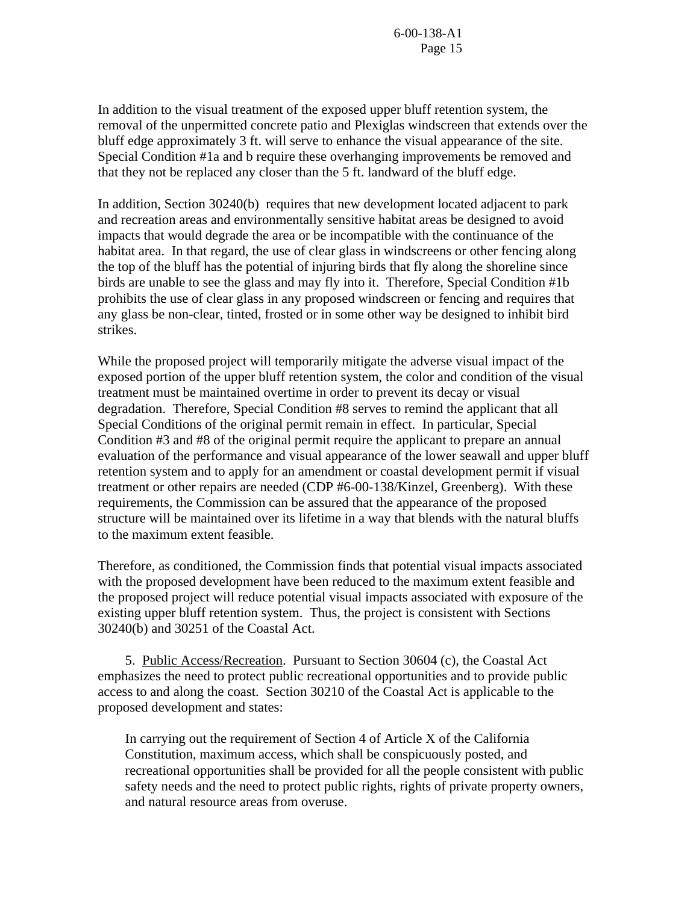In addition to the visual treatment of the exposed upper bluff retention system, the removal of the unpermitted concrete patio and Plexiglas windscreen that extends over the bluff edge approximately 3 ft. will serve to enhance the visual appearance of the site. Special Condition #1a and b require these overhanging improvements be removed and that they not be replaced any closer than the 5 ft. landward of the bluff edge.

In addition, Section 30240(b) requires that new development located adjacent to park and recreation areas and environmentally sensitive habitat areas be designed to avoid impacts that would degrade the area or be incompatible with the continuance of the habitat area. In that regard, the use of clear glass in windscreens or other fencing along the top of the bluff has the potential of injuring birds that fly along the shoreline since birds are unable to see the glass and may fly into it. Therefore, Special Condition #1b prohibits the use of clear glass in any proposed windscreen or fencing and requires that any glass be non-clear, tinted, frosted or in some other way be designed to inhibit bird strikes.

While the proposed project will temporarily mitigate the adverse visual impact of the exposed portion of the upper bluff retention system, the color and condition of the visual treatment must be maintained overtime in order to prevent its decay or visual degradation. Therefore, Special Condition #8 serves to remind the applicant that all Special Conditions of the original permit remain in effect. In particular, Special Condition #3 and #8 of the original permit require the applicant to prepare an annual evaluation of the performance and visual appearance of the lower seawall and upper bluff retention system and to apply for an amendment or coastal development permit if visual treatment or other repairs are needed (CDP #6-00-138/Kinzel, Greenberg). With these requirements, the Commission can be assured that the appearance of the proposed structure will be maintained over its lifetime in a way that blends with the natural bluffs to the maximum extent feasible.

Therefore, as conditioned, the Commission finds that potential visual impacts associated with the proposed development have been reduced to the maximum extent feasible and the proposed project will reduce potential visual impacts associated with exposure of the existing upper bluff retention system. Thus, the project is consistent with Sections 30240(b) and 30251 of the Coastal Act.

5. Public Access/Recreation. Pursuant to Section 30604 (c), the Coastal Act emphasizes the need to protect public recreational opportunities and to provide public access to and along the coast. Section 30210 of the Coastal Act is applicable to the proposed development and states:

In carrying out the requirement of Section 4 of Article X of the California Constitution, maximum access, which shall be conspicuously posted, and recreational opportunities shall be provided for all the people consistent with public safety needs and the need to protect public rights, rights of private property owners, and natural resource areas from overuse.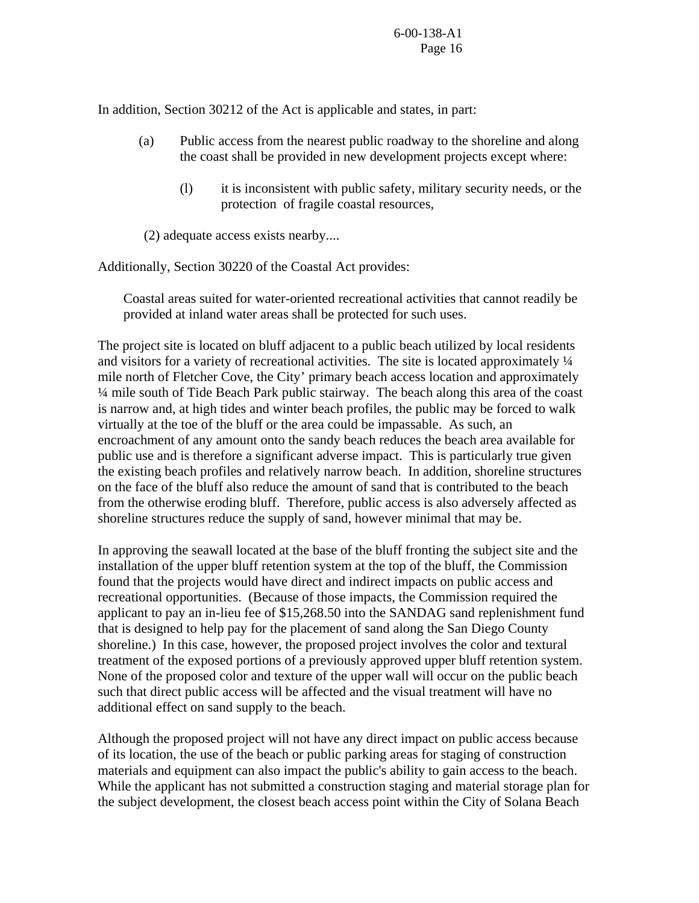In addition, Section 30212 of the Act is applicable and states, in part:

- (a) Public access from the nearest public roadway to the shoreline and along the coast shall be provided in new development projects except where:
	- (l) it is inconsistent with public safety, military security needs, or the protection of fragile coastal resources,

(2) adequate access exists nearby....

Additionally, Section 30220 of the Coastal Act provides:

Coastal areas suited for water-oriented recreational activities that cannot readily be provided at inland water areas shall be protected for such uses.

The project site is located on bluff adjacent to a public beach utilized by local residents and visitors for a variety of recreational activities. The site is located approximately ¼ mile north of Fletcher Cove, the City' primary beach access location and approximately ¼ mile south of Tide Beach Park public stairway. The beach along this area of the coast is narrow and, at high tides and winter beach profiles, the public may be forced to walk virtually at the toe of the bluff or the area could be impassable. As such, an encroachment of any amount onto the sandy beach reduces the beach area available for public use and is therefore a significant adverse impact. This is particularly true given the existing beach profiles and relatively narrow beach. In addition, shoreline structures on the face of the bluff also reduce the amount of sand that is contributed to the beach from the otherwise eroding bluff. Therefore, public access is also adversely affected as shoreline structures reduce the supply of sand, however minimal that may be.

In approving the seawall located at the base of the bluff fronting the subject site and the installation of the upper bluff retention system at the top of the bluff, the Commission found that the projects would have direct and indirect impacts on public access and recreational opportunities. (Because of those impacts, the Commission required the applicant to pay an in-lieu fee of \$15,268.50 into the SANDAG sand replenishment fund that is designed to help pay for the placement of sand along the San Diego County shoreline.) In this case, however, the proposed project involves the color and textural treatment of the exposed portions of a previously approved upper bluff retention system. None of the proposed color and texture of the upper wall will occur on the public beach such that direct public access will be affected and the visual treatment will have no additional effect on sand supply to the beach.

Although the proposed project will not have any direct impact on public access because of its location, the use of the beach or public parking areas for staging of construction materials and equipment can also impact the public's ability to gain access to the beach. While the applicant has not submitted a construction staging and material storage plan for the subject development, the closest beach access point within the City of Solana Beach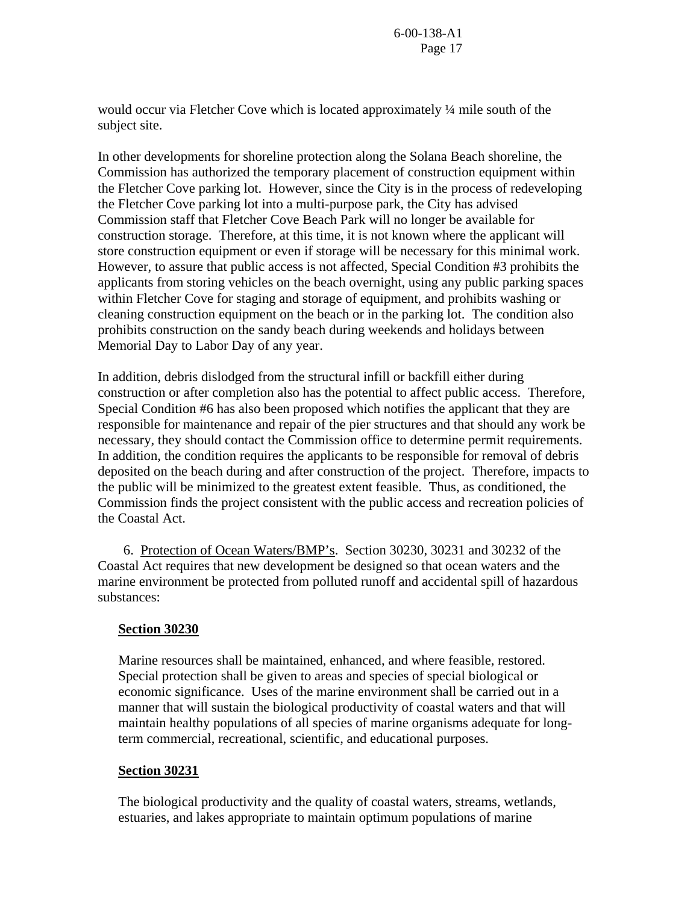would occur via Fletcher Cove which is located approximately ¼ mile south of the subject site.

In other developments for shoreline protection along the Solana Beach shoreline, the Commission has authorized the temporary placement of construction equipment within the Fletcher Cove parking lot. However, since the City is in the process of redeveloping the Fletcher Cove parking lot into a multi-purpose park, the City has advised Commission staff that Fletcher Cove Beach Park will no longer be available for construction storage. Therefore, at this time, it is not known where the applicant will store construction equipment or even if storage will be necessary for this minimal work. However, to assure that public access is not affected, Special Condition #3 prohibits the applicants from storing vehicles on the beach overnight, using any public parking spaces within Fletcher Cove for staging and storage of equipment, and prohibits washing or cleaning construction equipment on the beach or in the parking lot. The condition also prohibits construction on the sandy beach during weekends and holidays between Memorial Day to Labor Day of any year.

In addition, debris dislodged from the structural infill or backfill either during construction or after completion also has the potential to affect public access. Therefore, Special Condition #6 has also been proposed which notifies the applicant that they are responsible for maintenance and repair of the pier structures and that should any work be necessary, they should contact the Commission office to determine permit requirements. In addition, the condition requires the applicants to be responsible for removal of debris deposited on the beach during and after construction of the project. Therefore, impacts to the public will be minimized to the greatest extent feasible. Thus, as conditioned, the Commission finds the project consistent with the public access and recreation policies of the Coastal Act.

 6. Protection of Ocean Waters/BMP's. Section 30230, 30231 and 30232 of the Coastal Act requires that new development be designed so that ocean waters and the marine environment be protected from polluted runoff and accidental spill of hazardous substances:

## **Section 30230**

Marine resources shall be maintained, enhanced, and where feasible, restored. Special protection shall be given to areas and species of special biological or economic significance. Uses of the marine environment shall be carried out in a manner that will sustain the biological productivity of coastal waters and that will maintain healthy populations of all species of marine organisms adequate for longterm commercial, recreational, scientific, and educational purposes.

### **Section 30231**

The biological productivity and the quality of coastal waters, streams, wetlands, estuaries, and lakes appropriate to maintain optimum populations of marine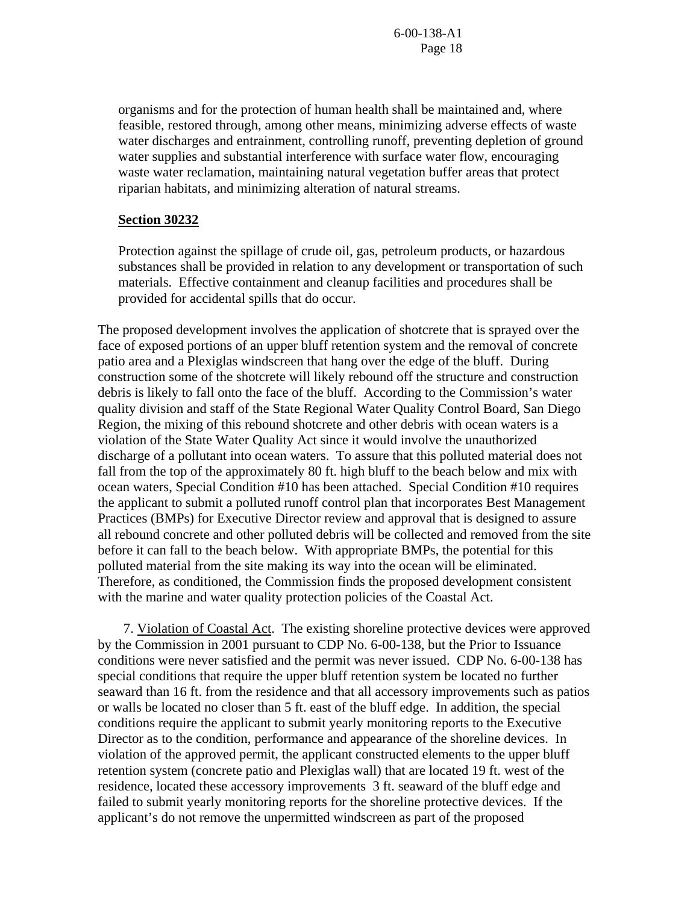organisms and for the protection of human health shall be maintained and, where feasible, restored through, among other means, minimizing adverse effects of waste water discharges and entrainment, controlling runoff, preventing depletion of ground water supplies and substantial interference with surface water flow, encouraging waste water reclamation, maintaining natural vegetation buffer areas that protect riparian habitats, and minimizing alteration of natural streams.

#### **Section 30232**

Protection against the spillage of crude oil, gas, petroleum products, or hazardous substances shall be provided in relation to any development or transportation of such materials. Effective containment and cleanup facilities and procedures shall be provided for accidental spills that do occur.

The proposed development involves the application of shotcrete that is sprayed over the face of exposed portions of an upper bluff retention system and the removal of concrete patio area and a Plexiglas windscreen that hang over the edge of the bluff. During construction some of the shotcrete will likely rebound off the structure and construction debris is likely to fall onto the face of the bluff. According to the Commission's water quality division and staff of the State Regional Water Quality Control Board, San Diego Region, the mixing of this rebound shotcrete and other debris with ocean waters is a violation of the State Water Quality Act since it would involve the unauthorized discharge of a pollutant into ocean waters. To assure that this polluted material does not fall from the top of the approximately 80 ft. high bluff to the beach below and mix with ocean waters, Special Condition #10 has been attached. Special Condition #10 requires the applicant to submit a polluted runoff control plan that incorporates Best Management Practices (BMPs) for Executive Director review and approval that is designed to assure all rebound concrete and other polluted debris will be collected and removed from the site before it can fall to the beach below. With appropriate BMPs, the potential for this polluted material from the site making its way into the ocean will be eliminated. Therefore, as conditioned, the Commission finds the proposed development consistent with the marine and water quality protection policies of the Coastal Act.

 7. Violation of Coastal Act. The existing shoreline protective devices were approved by the Commission in 2001 pursuant to CDP No. 6-00-138, but the Prior to Issuance conditions were never satisfied and the permit was never issued. CDP No. 6-00-138 has special conditions that require the upper bluff retention system be located no further seaward than 16 ft. from the residence and that all accessory improvements such as patios or walls be located no closer than 5 ft. east of the bluff edge. In addition, the special conditions require the applicant to submit yearly monitoring reports to the Executive Director as to the condition, performance and appearance of the shoreline devices. In violation of the approved permit, the applicant constructed elements to the upper bluff retention system (concrete patio and Plexiglas wall) that are located 19 ft. west of the residence, located these accessory improvements 3 ft. seaward of the bluff edge and failed to submit yearly monitoring reports for the shoreline protective devices. If the applicant's do not remove the unpermitted windscreen as part of the proposed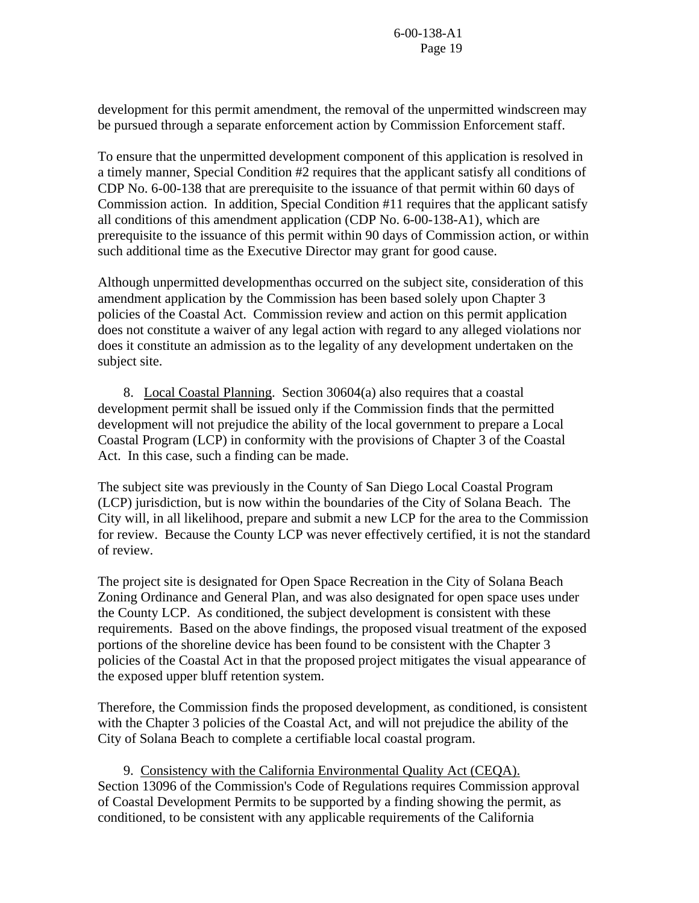development for this permit amendment, the removal of the unpermitted windscreen may be pursued through a separate enforcement action by Commission Enforcement staff.

To ensure that the unpermitted development component of this application is resolved in a timely manner, Special Condition #2 requires that the applicant satisfy all conditions of CDP No. 6-00-138 that are prerequisite to the issuance of that permit within 60 days of Commission action. In addition, Special Condition #11 requires that the applicant satisfy all conditions of this amendment application (CDP No. 6-00-138-A1), which are prerequisite to the issuance of this permit within 90 days of Commission action, or within such additional time as the Executive Director may grant for good cause.

Although unpermitted developmenthas occurred on the subject site, consideration of this amendment application by the Commission has been based solely upon Chapter 3 policies of the Coastal Act. Commission review and action on this permit application does not constitute a waiver of any legal action with regard to any alleged violations nor does it constitute an admission as to the legality of any development undertaken on the subject site.

 8. Local Coastal Planning. Section 30604(a) also requires that a coastal development permit shall be issued only if the Commission finds that the permitted development will not prejudice the ability of the local government to prepare a Local Coastal Program (LCP) in conformity with the provisions of Chapter 3 of the Coastal Act. In this case, such a finding can be made.

The subject site was previously in the County of San Diego Local Coastal Program (LCP) jurisdiction, but is now within the boundaries of the City of Solana Beach. The City will, in all likelihood, prepare and submit a new LCP for the area to the Commission for review. Because the County LCP was never effectively certified, it is not the standard of review.

The project site is designated for Open Space Recreation in the City of Solana Beach Zoning Ordinance and General Plan, and was also designated for open space uses under the County LCP. As conditioned, the subject development is consistent with these requirements. Based on the above findings, the proposed visual treatment of the exposed portions of the shoreline device has been found to be consistent with the Chapter 3 policies of the Coastal Act in that the proposed project mitigates the visual appearance of the exposed upper bluff retention system.

Therefore, the Commission finds the proposed development, as conditioned, is consistent with the Chapter 3 policies of the Coastal Act, and will not prejudice the ability of the City of Solana Beach to complete a certifiable local coastal program.

 9. Consistency with the California Environmental Quality Act (CEQA). Section 13096 of the Commission's Code of Regulations requires Commission approval of Coastal Development Permits to be supported by a finding showing the permit, as conditioned, to be consistent with any applicable requirements of the California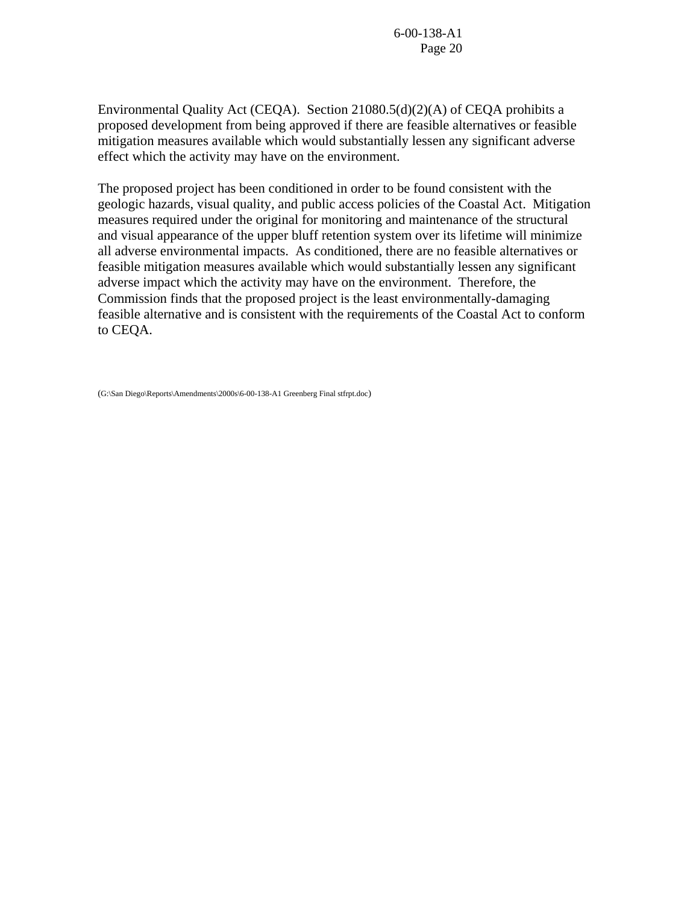Environmental Quality Act (CEQA). Section 21080.5(d)(2)(A) of CEQA prohibits a proposed development from being approved if there are feasible alternatives or feasible mitigation measures available which would substantially lessen any significant adverse effect which the activity may have on the environment.

The proposed project has been conditioned in order to be found consistent with the geologic hazards, visual quality, and public access policies of the Coastal Act. Mitigation measures required under the original for monitoring and maintenance of the structural and visual appearance of the upper bluff retention system over its lifetime will minimize all adverse environmental impacts. As conditioned, there are no feasible alternatives or feasible mitigation measures available which would substantially lessen any significant adverse impact which the activity may have on the environment. Therefore, the Commission finds that the proposed project is the least environmentally-damaging feasible alternative and is consistent with the requirements of the Coastal Act to conform to CEQA.

(G:\San Diego\Reports\Amendments\2000s\6-00-138-A1 Greenberg Final stfrpt.doc)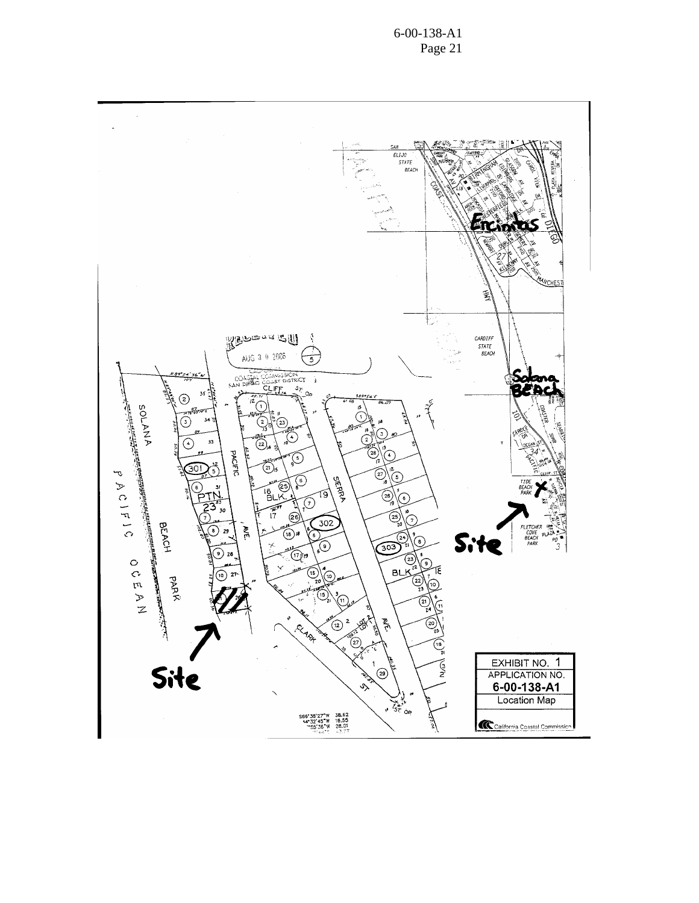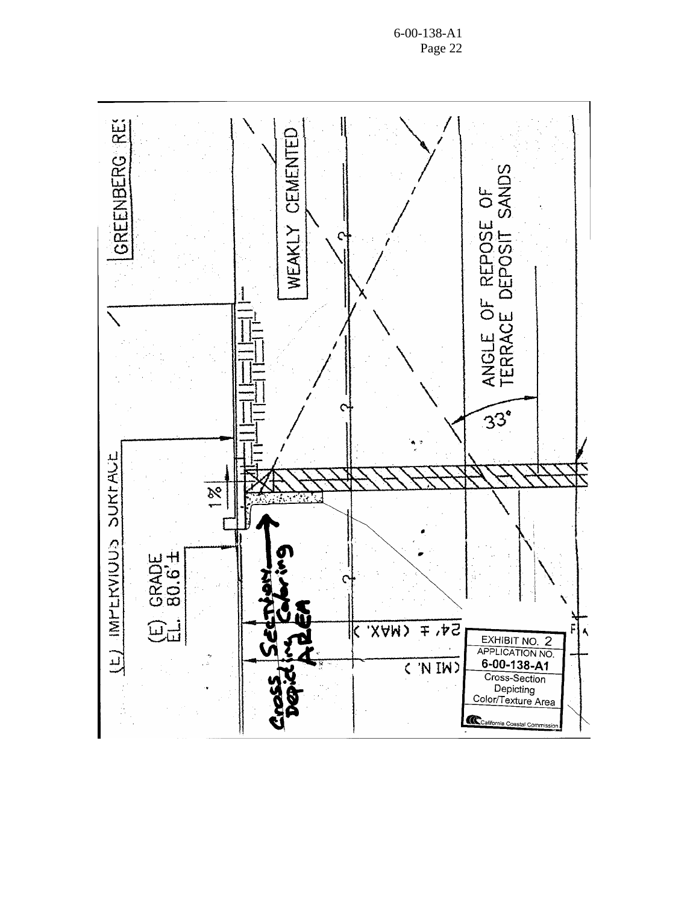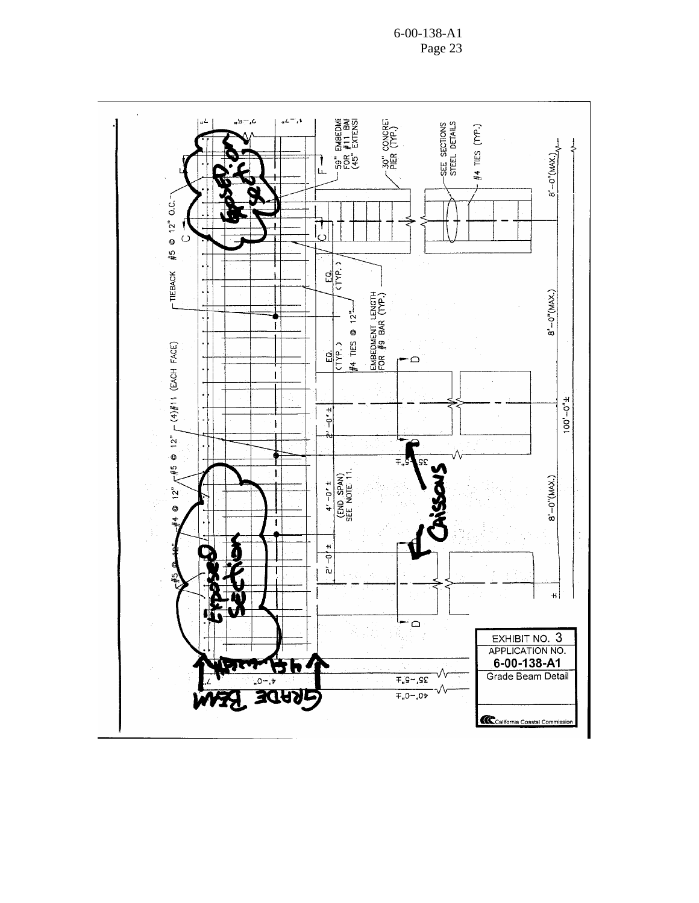